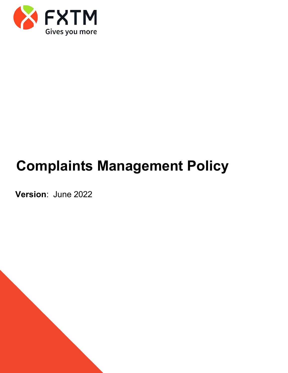

# **Complaints Management Policy**

**Version**: June 2022

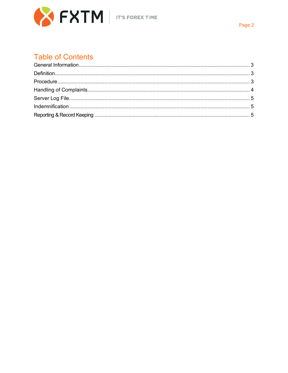

## **Table of Contents**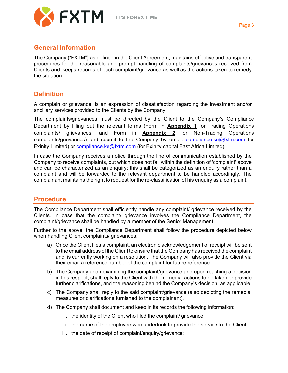

#### <span id="page-2-0"></span>**General Information**

The Company ("FXTM") as defined in the Client Agreement, maintains effective and transparent procedures for the reasonable and prompt handling of complaints/grievances received from Clients and keeps records of each complaint/grievance as well as the actions taken to remedy the situation.

#### <span id="page-2-1"></span>**Definition**

A complain or grievance, is an expression of dissatisfaction regarding the investment and/or ancillary services provided to the Clients by the Company.

The complaints/grievances must be directed by the Client to the Company's Compliance Department by filling out the relevant forms (Form in **Appendix 1** for Trading Operations complaints/ grievances, and Form in **Appendix 2** for Non-Trading Operations complaints/grievances) and submit to the Company by email: [compliance.ke@fxtm.com](mailto:compliance.ke@fxtm.com) for Exinity Limited) or [compliance.ke@fxtm.com](mailto:compliance.ke@fxtm.com.) (for Exinity capital East Africa Limited).

In case the Company receives a notice through the line of communication established by the Company to receive complaints, but which does not fall within the definition of 'complaint' above and can be characterized as an enquiry; this shall be categorized as an enquiry rather than a complaint and will be forwarded to the relevant department to be handled accordingly. The complainant maintains the right to request for the re-classification of his enquiry as a complaint.

#### <span id="page-2-2"></span>**Procedure**

The Compliance Department shall efficiently handle any complaint/ grievance received by the Clients. In case that the complaint/ grievance involves the Compliance Department, the complaint/grievance shall be handled by a member of the Senior Management.

Further to the above, the Compliance Department shall follow the procedure depicted below when handling Client complaints/ grievances:

- a) Once the Client files a complaint, an electronic acknowledgement of receipt will be sent to the email address of the Client to ensure that the Company has received the complaint and is currently working on a resolution. The Company will also provide the Client via their email a reference number of the complaint for future reference.
- b) The Company upon examining the complaint/grievance and upon reaching a decision in this respect, shall reply to the Client with the remedial actions to be taken or provide further clarifications, and the reasoning behind the Company's decision, as applicable.
- c) The Company shall reply to the said complaint/grievance (also depicting the remedial measures or clarifications furnished to the complainant).
- d) The Company shall document and keep in its records the following information:
	- i. the identity of the Client who filed the complaint/ grievance;
	- ii. the name of the employee who undertook to provide the service to the Client;
	- iii. the date of receipt of complaint/enquiry/grievance;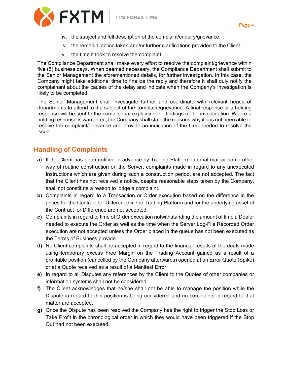



- iv. the subject and full description of the complaint/enquiry/grievance;
- v. the remedial action taken and/or further clarifications provided to the Client.
- vi. the time it took to resolve the complaint.

The Compliance Department shall make every effort to resolve the complaint/grievance within five (5) business days. When deemed necessary, the Compliance Department shall submit to the Senior Management the aforementioned details, for further investigation. In this case, the Company might take additional time to finalize the reply and therefore it shall duly notify the complainant about the causes of the delay and indicate when the Company's investigation is likely to be completed.

The Senior Management shall investigate further and coordinate with relevant heads of departments to attend to the subject of the complaint/grievance. A final response or a holding response will be sent to the complainant explaining the findings of the investigation. Where a holding response is warranted, the Company shall state the reasons why it has not been able to resolve the complaint/grievance and provide an indication of the time needed to resolve the issue.

### <span id="page-3-0"></span>**Handling of Complaints**

- **a)** If the Client has been notified in advance by Trading Platform internal mail or some other way of routine construction on the Server, complaints made in regard to any unexecuted Instructions which are given during such a construction period, are not accepted. The fact that the Client has not received a notice, despite reasonable steps taken by the Company, shall not constitute a reason to lodge a complaint.
- **b)** Complaints in regard to a Transaction or Order execution based on the difference in the prices for the Contract for Difference in the Trading Platform and for the underlying asset of the Contract for Difference are not accepted.
- **c)** Complaints in regard to time of Order execution notwithstanding the amount of time a Dealer needed to execute the Order as well as the time when the Server Log‐File Recorded Order execution are not accepted unless the Order placed in the queue has not been executed as the Terms of Business provide.
- **d)** No Client complaints shall be accepted in regard to the financial results of the deals made using temporary excess Free Margin on the Trading Account gained as a result of a profitable position (cancelled by the Company afterwards) opened at an Error Quote (Spike) or at a Quote received as a result of a Manifest Error.
- **e)** In regard to all Disputes any references by the Client to the Quotes of other companies or information systems shall not be considered.
- **f)** The Client acknowledges that he/she shall not be able to manage the position while the Dispute in regard to this position is being considered and no complaints in regard to that matter are accepted.
- **g)** Once the Dispute has been resolved the Company has the right to trigger the Stop Loss or Take Profit in the chronological order in which they would have been triggered if the Stop Out had not been executed.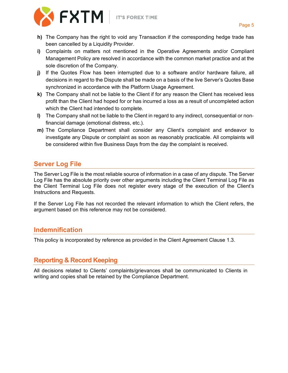

- 
- **h)** The Company has the right to void any Transaction if the corresponding hedge trade has been cancelled by a Liquidity Provider.
- **i)** Complaints on matters not mentioned in the Operative Agreements and/or Compliant Management Policy are resolved in accordance with the common market practice and at the sole discretion of the Company.
- **j)** If the Quotes Flow has been interrupted due to a software and/or hardware failure, all decisions in regard to the Dispute shall be made on a basis of the live Server's Quotes Base synchronized in accordance with the Platform Usage Agreement.
- **k)** The Company shall not be liable to the Client if for any reason the Client has received less profit than the Client had hoped for or has incurred a loss as a result of uncompleted action which the Client had intended to complete.
- **l)** The Company shall not be liable to the Client in regard to any indirect, consequential or non‐ financial damage (emotional distress, etc.).
- **m)** The Compliance Department shall consider any Client's complaint and endeavor to investigate any Dispute or complaint as soon as reasonably practicable. All complaints will be considered within five Business Days from the day the complaint is received.

### <span id="page-4-0"></span>**Server Log File**

The Server Log File is the most reliable source of information in a case of any dispute. The Server Log File has the absolute priority over other arguments including the Client Terminal Log File as the Client Terminal Log File does not register every stage of the execution of the Client's Instructions and Requests.

If the Server Log File has not recorded the relevant information to which the Client refers, the argument based on this reference may not be considered.

#### <span id="page-4-1"></span>**Indemnification**

This policy is incorporated by reference as provided in the Client Agreement Clause 1.3.

### <span id="page-4-2"></span>**Reporting & Record Keeping**

All decisions related to Clients' complaints/grievances shall be communicated to Clients in writing and copies shall be retained by the Compliance Department.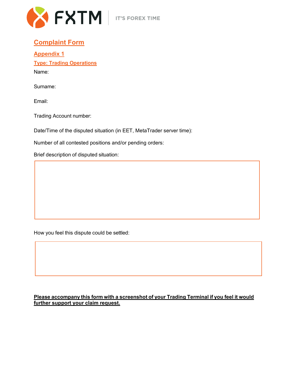

#### **Complaint Form**

**Appendix 1 Type: Trading Operations**

Name:

Surname:

Email:

Trading Account number:

Date/Time of the disputed situation (in EET, MetaTrader server time):

Number of all contested positions and/or pending orders:

Brief description of disputed situation:

How you feel this dispute could be settled:

#### **Please accompany this form with a screenshot of your Trading Terminal if you feel it would further support your claim request.**